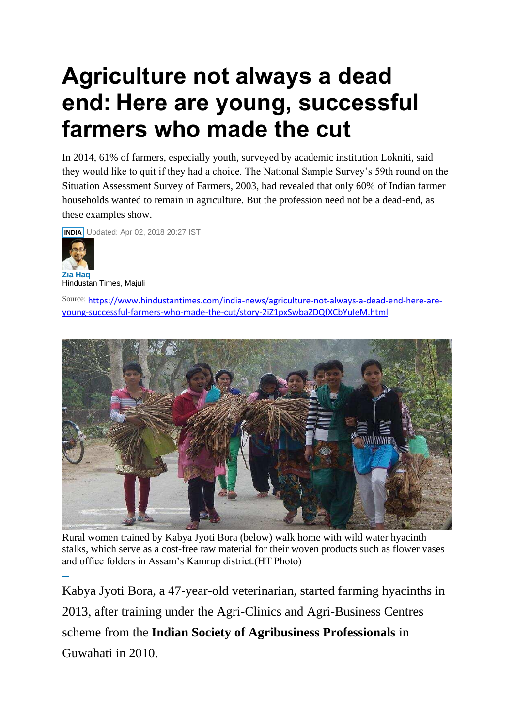## **Agriculture not always a dead end: Here are young, successful farmers who made the cut**

In 2014, 61% of farmers, especially youth, surveyed by academic institution Lokniti, said they would like to quit if they had a choice. The National Sample Survey's 59th round on the Situation Assessment Survey of Farmers, 2003, had revealed that only 60% of Indian farmer households wanted to remain in agriculture. But the profession need not be a dead-end, as these examples show.



**Zia [Haq](https://www.hindustantimes.com/columns/zia-haq)** Hindustan Times, Majuli

Source: [https://www.hindustantimes.com/india-news/agriculture-not-always-a-dead-end-here-are](https://www.hindustantimes.com/india-news/agriculture-not-always-a-dead-end-here-are-young-successful-farmers-who-made-the-cut/story-2iZ1pxSwbaZDQfXCbYuIeM.html)[young-successful-farmers-who-made-the-cut/story-2iZ1pxSwbaZDQfXCbYuIeM.html](https://www.hindustantimes.com/india-news/agriculture-not-always-a-dead-end-here-are-young-successful-farmers-who-made-the-cut/story-2iZ1pxSwbaZDQfXCbYuIeM.html)



Rural women trained by Kabya Jyoti Bora (below) walk home with wild water hyacinth stalks, which serve as a cost-free raw material for their woven products such as flower vases [a](https://twitter.com/share?url=https://www.hindustantimes.com/india-news/agriculture-not-always-a-dead-end-here-are-young-successful-farmers-who-made-the-cut/story-2iZ1pxSwbaZDQfXCbYuIeM.html)[n](https://www.linkedin.com/shareArticle?mini=true&url=https://www.hindustantimes.com/india-news/agriculture-not-always-a-dead-end-here-are-young-successful-farmers-who-made-the-cut/story-2iZ1pxSwbaZDQfXCbYuIeM.html)d office folders in Assam's Kamrup district.(HT Photo)

Kabya Jyoti Bora, a 47-year-old veterinarian, started farming hyacinths in 2013, after training under the Agri-Clinics and Agri-Business Centres scheme from the **Indian Society of Agribusiness Professionals** in Guwahati in 2010.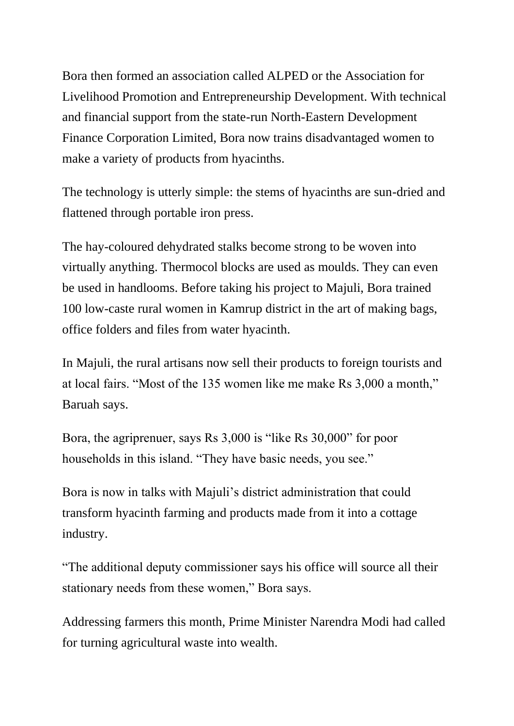Bora then formed an association called ALPED or the Association for Livelihood Promotion and Entrepreneurship Development. With technical and financial support from the state-run North-Eastern Development Finance Corporation Limited, Bora now trains disadvantaged women to make a variety of products from hyacinths.

The technology is utterly simple: the stems of hyacinths are sun-dried and flattened through portable iron press.

The hay-coloured dehydrated stalks become strong to be woven into virtually anything. Thermocol blocks are used as moulds. They can even be used in handlooms. Before taking his project to Majuli, Bora trained 100 low-caste rural women in Kamrup district in the art of making bags, office folders and files from water hyacinth.

In Majuli, the rural artisans now sell their products to foreign tourists and at local fairs. "Most of the 135 women like me make Rs 3,000 a month," Baruah says.

Bora, the agriprenuer, says Rs 3,000 is "like Rs 30,000" for poor households in this island. "They have basic needs, you see."

Bora is now in talks with Majuli's district administration that could transform hyacinth farming and products made from it into a cottage industry.

"The additional deputy commissioner says his office will source all their stationary needs from these women," Bora says.

Addressing farmers this month, Prime Minister Narendra Modi had called for turning agricultural waste into wealth.